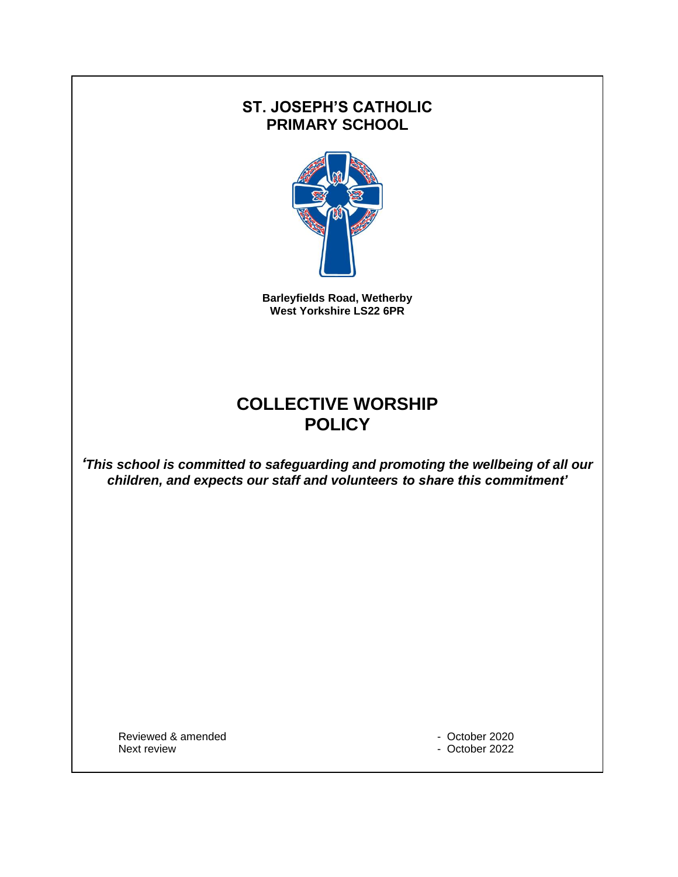# **ST. JOSEPH'S CATHOLIC PRIMARY SCHOOL**



**Barleyfields Road, Wetherby West Yorkshire LS22 6PR**

# **COLLECTIVE WORSHIP POLICY**

*'This school is committed to safeguarding and promoting the wellbeing of all our children, and expects our staff and volunteers to share this commitment'*

Reviewed & amended  $\overline{a}$  - October 2020 Next review  $\sim$  0ctober 2022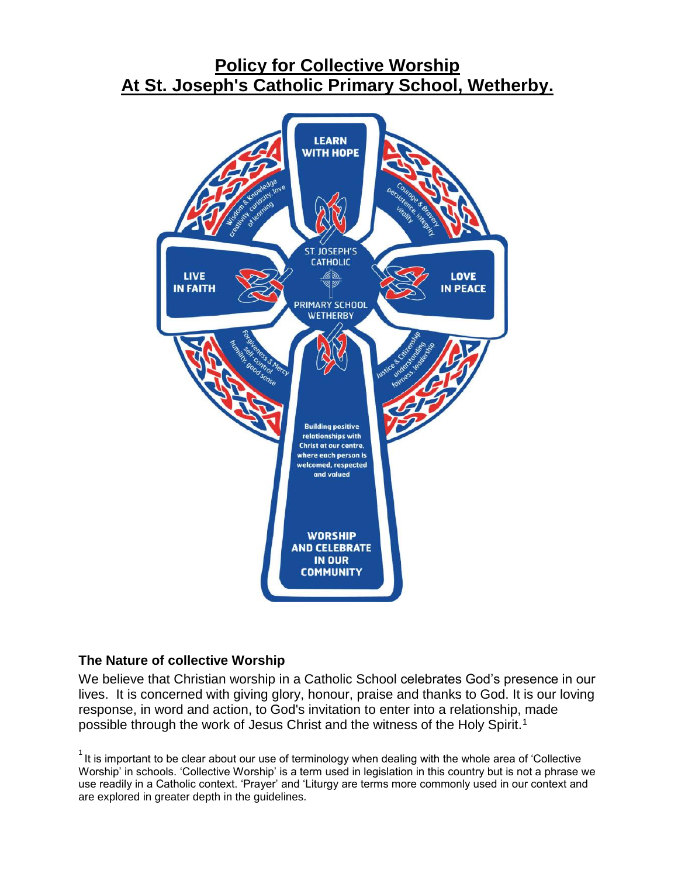# **Policy for Collective Worship At St. Joseph's Catholic Primary School, Wetherby.**



## **The Nature of collective Worship**

We believe that Christian worship in a Catholic School celebrates God's presence in our lives. It is concerned with giving glory, honour, praise and thanks to God. It is our loving response, in word and action, to God's invitation to enter into a relationship, made possible through the work of Jesus Christ and the witness of the Holy Spirit.<sup>1</sup>

 $1$ It is important to be clear about our use of terminology when dealing with the whole area of 'Collective Worship' in schools. 'Collective Worship' is a term used in legislation in this country but is not a phrase we use readily in a Catholic context. 'Prayer' and 'Liturgy are terms more commonly used in our context and are explored in greater depth in the guidelines.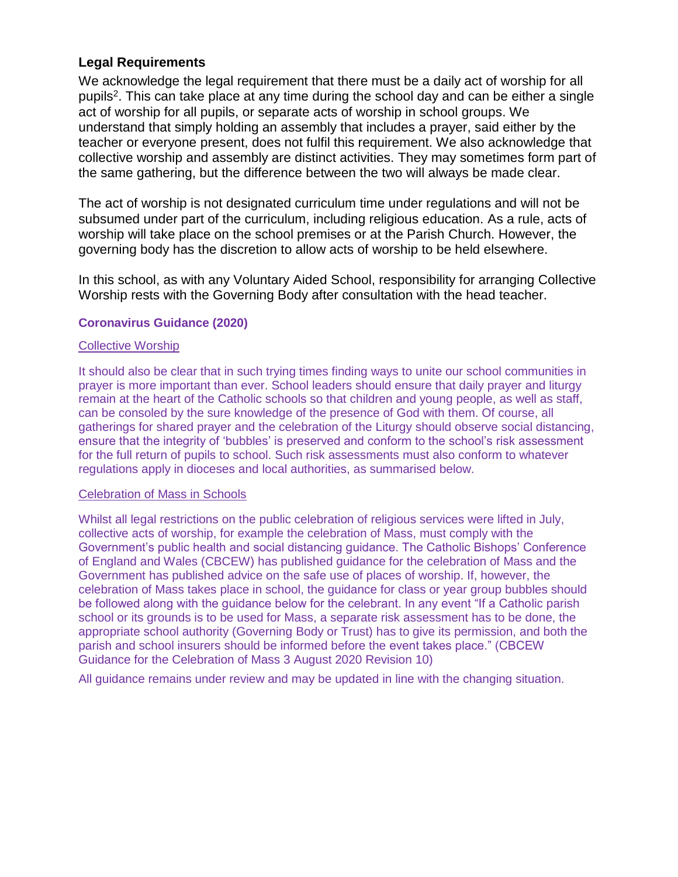### **Legal Requirements**

We acknowledge the legal requirement that there must be a daily act of worship for all pupils<sup>2</sup>. This can take place at any time during the school day and can be either a single act of worship for all pupils, or separate acts of worship in school groups. We understand that simply holding an assembly that includes a prayer, said either by the teacher or everyone present, does not fulfil this requirement. We also acknowledge that collective worship and assembly are distinct activities. They may sometimes form part of the same gathering, but the difference between the two will always be made clear.

The act of worship is not designated curriculum time under regulations and will not be subsumed under part of the curriculum, including religious education. As a rule, acts of worship will take place on the school premises or at the Parish Church. However, the governing body has the discretion to allow acts of worship to be held elsewhere.

In this school, as with any Voluntary Aided School, responsibility for arranging Collective Worship rests with the Governing Body after consultation with the head teacher.

#### **Coronavirus Guidance (2020)**

#### Collective Worship

It should also be clear that in such trying times finding ways to unite our school communities in prayer is more important than ever. School leaders should ensure that daily prayer and liturgy remain at the heart of the Catholic schools so that children and young people, as well as staff, can be consoled by the sure knowledge of the presence of God with them. Of course, all gatherings for shared prayer and the celebration of the Liturgy should observe social distancing, ensure that the integrity of 'bubbles' is preserved and conform to the school's risk assessment for the full return of pupils to school. Such risk assessments must also conform to whatever regulations apply in dioceses and local authorities, as summarised below.

#### Celebration of Mass in Schools

Whilst all legal restrictions on the public celebration of religious services were lifted in July, collective acts of worship, for example the celebration of Mass, must comply with the Government's public health and social distancing guidance. The Catholic Bishops' Conference of England and Wales (CBCEW) has published guidance for the celebration of Mass and the Government has published advice on the safe use of places of worship. If, however, the celebration of Mass takes place in school, the guidance for class or year group bubbles should be followed along with the guidance below for the celebrant. In any event "If a Catholic parish school or its grounds is to be used for Mass, a separate risk assessment has to be done, the appropriate school authority (Governing Body or Trust) has to give its permission, and both the parish and school insurers should be informed before the event takes place." (CBCEW Guidance for the Celebration of Mass 3 August 2020 Revision 10)

All guidance remains under review and may be updated in line with the changing situation.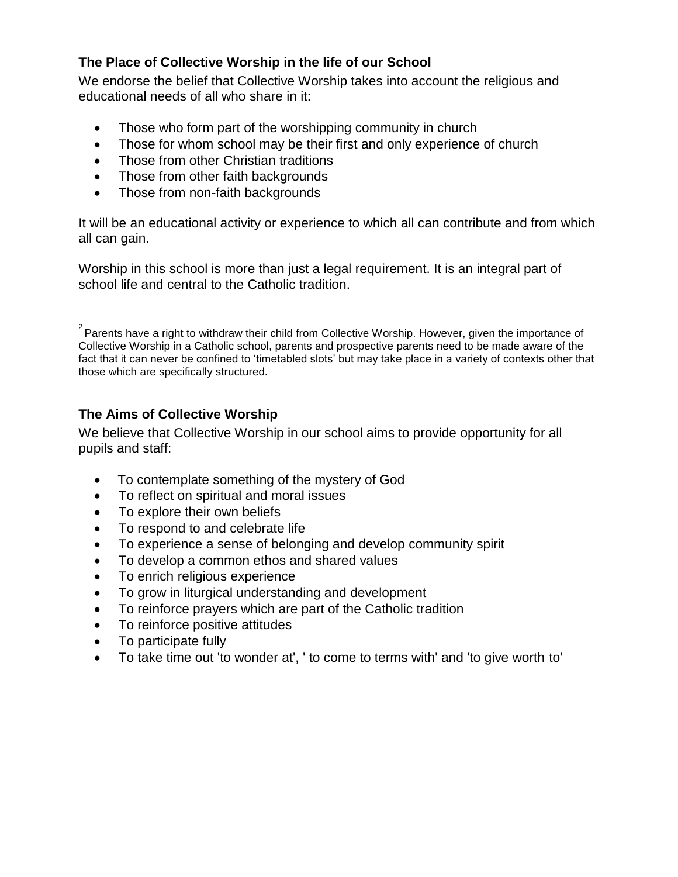## **The Place of Collective Worship in the life of our School**

We endorse the belief that Collective Worship takes into account the religious and educational needs of all who share in it:

- Those who form part of the worshipping community in church
- Those for whom school may be their first and only experience of church
- Those from other Christian traditions
- Those from other faith backgrounds
- Those from non-faith backgrounds

It will be an educational activity or experience to which all can contribute and from which all can gain.

Worship in this school is more than just a legal requirement. It is an integral part of school life and central to the Catholic tradition.

 $2$  Parents have a right to withdraw their child from Collective Worship. However, given the importance of Collective Worship in a Catholic school, parents and prospective parents need to be made aware of the fact that it can never be confined to 'timetabled slots' but may take place in a variety of contexts other that those which are specifically structured.

# **The Aims of Collective Worship**

We believe that Collective Worship in our school aims to provide opportunity for all pupils and staff:

- To contemplate something of the mystery of God
- To reflect on spiritual and moral issues
- To explore their own beliefs
- To respond to and celebrate life
- To experience a sense of belonging and develop community spirit
- To develop a common ethos and shared values
- To enrich religious experience
- To grow in liturgical understanding and development
- To reinforce prayers which are part of the Catholic tradition
- To reinforce positive attitudes
- To participate fully
- To take time out 'to wonder at', ' to come to terms with' and 'to give worth to'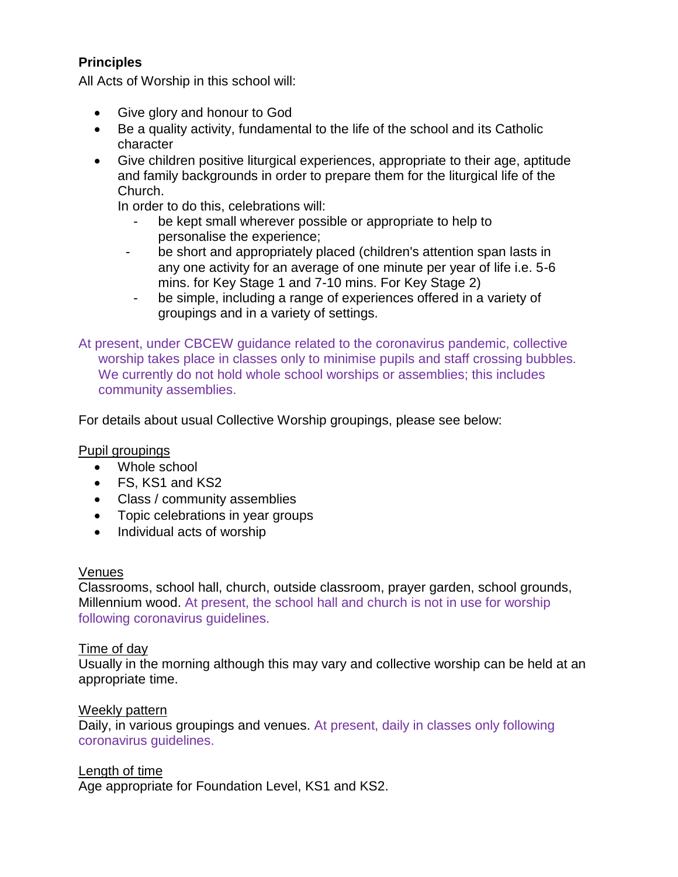## **Principles**

All Acts of Worship in this school will:

- Give glory and honour to God
- Be a quality activity, fundamental to the life of the school and its Catholic character
- Give children positive liturgical experiences, appropriate to their age, aptitude and family backgrounds in order to prepare them for the liturgical life of the Church.

In order to do this, celebrations will:

- be kept small wherever possible or appropriate to help to personalise the experience;
- be short and appropriately placed (children's attention span lasts in any one activity for an average of one minute per year of life i.e. 5-6 mins. for Key Stage 1 and 7-10 mins. For Key Stage 2)
	- be simple, including a range of experiences offered in a variety of groupings and in a variety of settings.

At present, under CBCEW guidance related to the coronavirus pandemic, collective worship takes place in classes only to minimise pupils and staff crossing bubbles. We currently do not hold whole school worships or assemblies; this includes community assemblies.

For details about usual Collective Worship groupings, please see below:

### Pupil groupings

- Whole school
- FS, KS1 and KS2
- Class / community assemblies
- Topic celebrations in year groups
- Individual acts of worship

#### Venues

Classrooms, school hall, church, outside classroom, prayer garden, school grounds, Millennium wood. At present, the school hall and church is not in use for worship following coronavirus guidelines.

### Time of day

Usually in the morning although this may vary and collective worship can be held at an appropriate time.

### Weekly pattern

Daily, in various groupings and venues. At present, daily in classes only following coronavirus guidelines.

### Length of time

Age appropriate for Foundation Level, KS1 and KS2.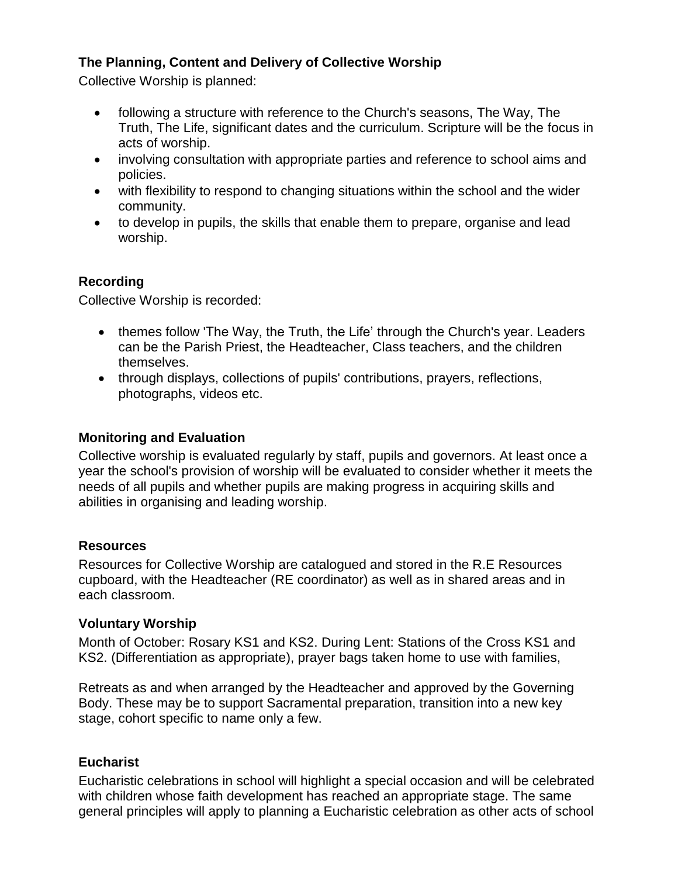## **The Planning, Content and Delivery of Collective Worship**

Collective Worship is planned:

- following a structure with reference to the Church's seasons, The Way, The Truth, The Life, significant dates and the curriculum. Scripture will be the focus in acts of worship.
- involving consultation with appropriate parties and reference to school aims and policies.
- with flexibility to respond to changing situations within the school and the wider community.
- to develop in pupils, the skills that enable them to prepare, organise and lead worship.

## **Recording**

Collective Worship is recorded:

- themes follow 'The Way, the Truth, the Life' through the Church's year. Leaders can be the Parish Priest, the Headteacher, Class teachers, and the children themselves.
- through displays, collections of pupils' contributions, prayers, reflections, photographs, videos etc.

## **Monitoring and Evaluation**

Collective worship is evaluated regularly by staff, pupils and governors. At least once a year the school's provision of worship will be evaluated to consider whether it meets the needs of all pupils and whether pupils are making progress in acquiring skills and abilities in organising and leading worship.

## **Resources**

Resources for Collective Worship are catalogued and stored in the R.E Resources cupboard, with the Headteacher (RE coordinator) as well as in shared areas and in each classroom.

## **Voluntary Worship**

Month of October: Rosary KS1 and KS2. During Lent: Stations of the Cross KS1 and KS2. (Differentiation as appropriate), prayer bags taken home to use with families,

Retreats as and when arranged by the Headteacher and approved by the Governing Body. These may be to support Sacramental preparation, transition into a new key stage, cohort specific to name only a few.

## **Eucharist**

Eucharistic celebrations in school will highlight a special occasion and will be celebrated with children whose faith development has reached an appropriate stage. The same general principles will apply to planning a Eucharistic celebration as other acts of school